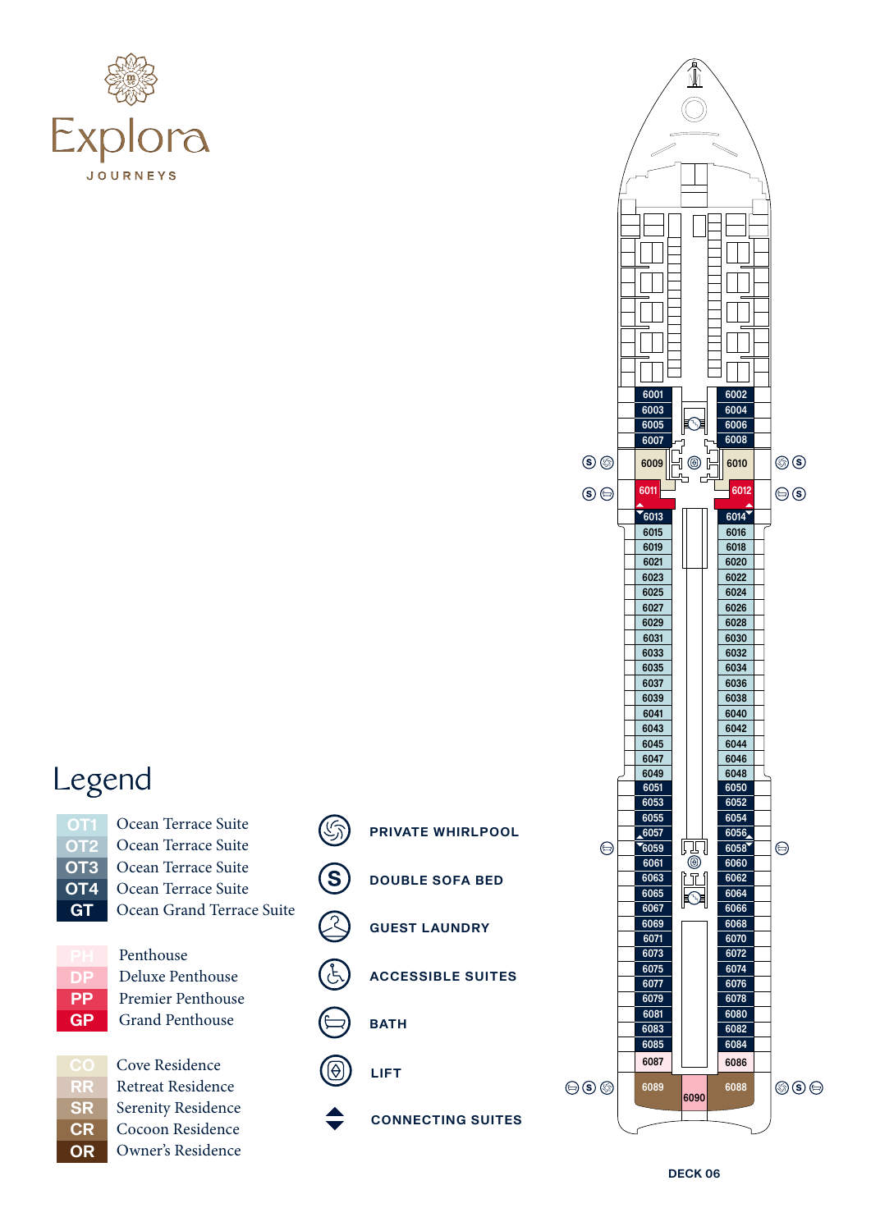



Ocean Terrace Suite Ocean Terrace Suite Ocean Terrace Suite Ocean Terrace Suite Ocean Grand Terrace Suite



RR **SR CR** OR Penthouse Deluxe Penthouse Premier Penthouse Grand Penthouse

Cove Residence Retreat Residence Serenity Residence Cocoon Residence Owner's Residence





DECK 06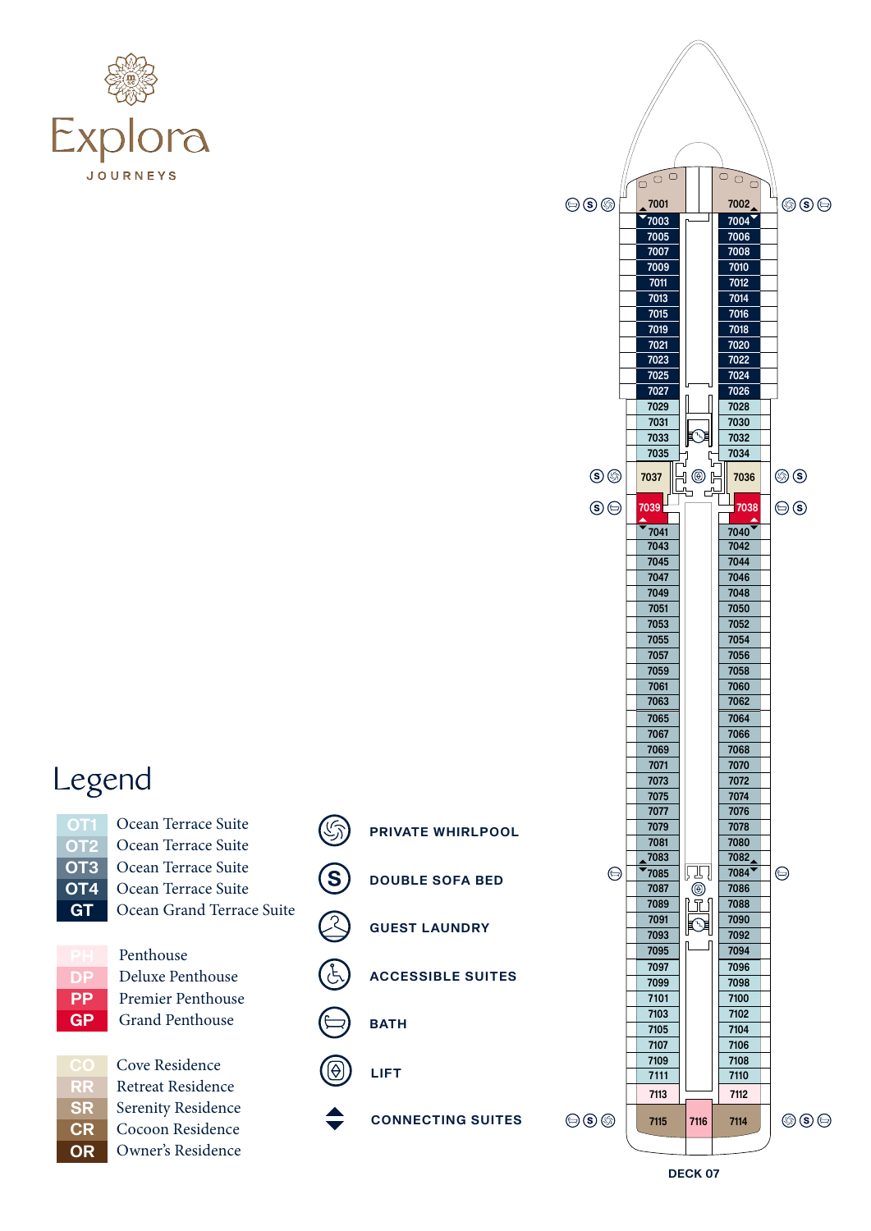



Ocean Terrace Suite Ocean Terrace Suite Ocean Terrace Suite Ocean Terrace Suite Ocean Grand Terrace Suite



RR **SR CR OR**  Penthouse Deluxe Penthouse Premier Penthouse Grand Penthouse

Cove Residence Retreat Residence Serenity Residence Cocoon Residence Owner's Residence



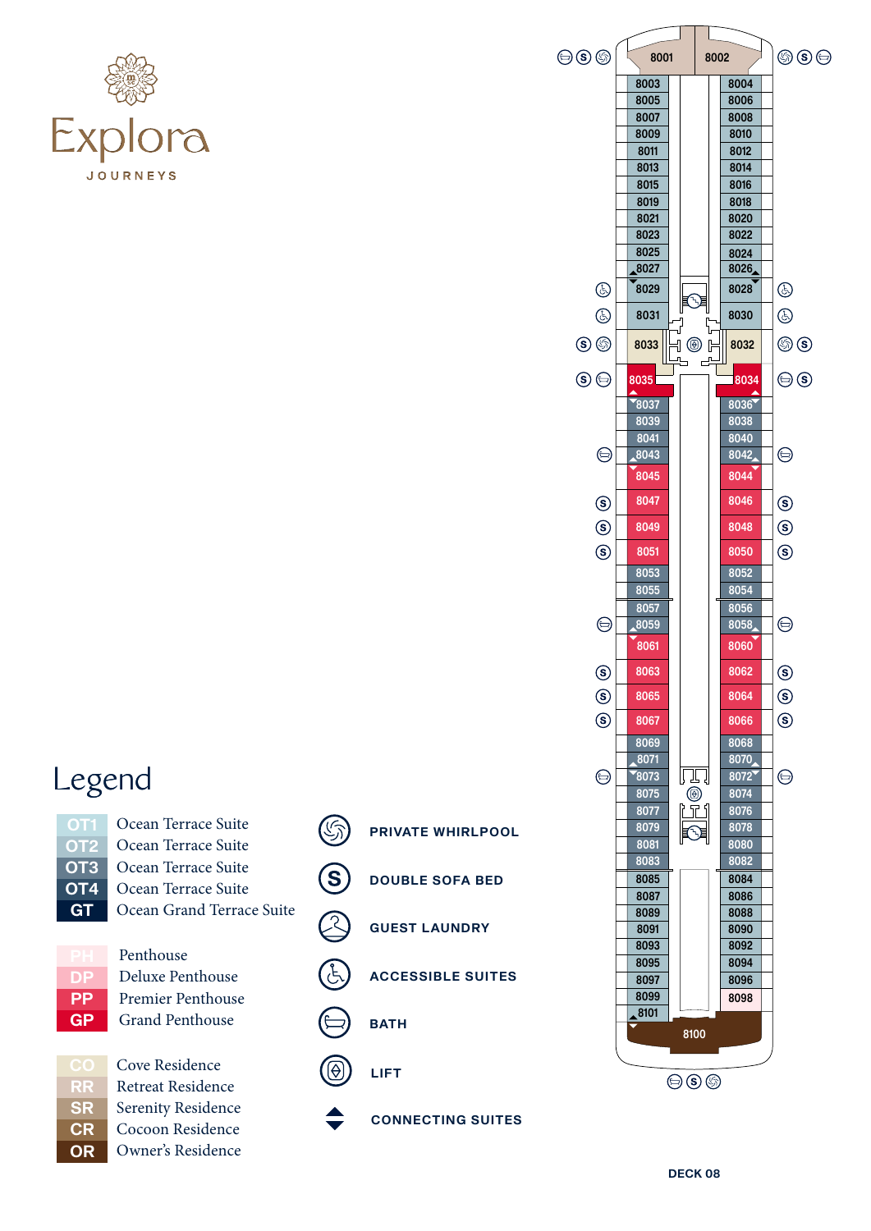



Ocean Terrace Suite Ocean Terrace Suite Ocean Terrace Suite Ocean Terrace Suite Ocean Grand Terrace Suite



Penthouse Deluxe Penthouse Premier Penthouse Grand Penthouse



Cove Residence Retreat Residence Serenity Residence Cocoon Residence Owner's Residence



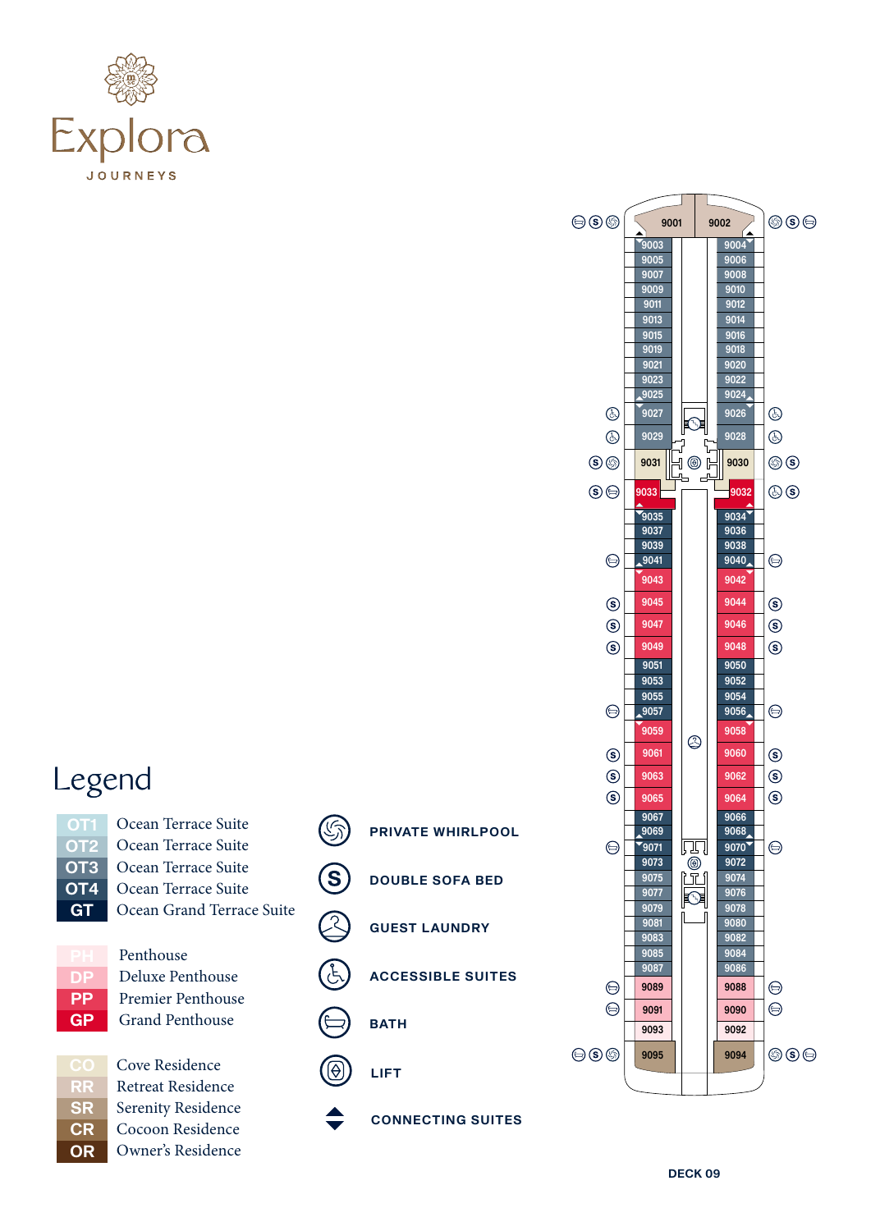



- Ocean Terrace Suite Ocean Terrace Suite Ocean Terrace Suite Ocean Terrace Suite Ocean Grand Terrace Suite
- DP **PP** GP

Penthouse Deluxe Penthouse Premier Penthouse Grand Penthouse